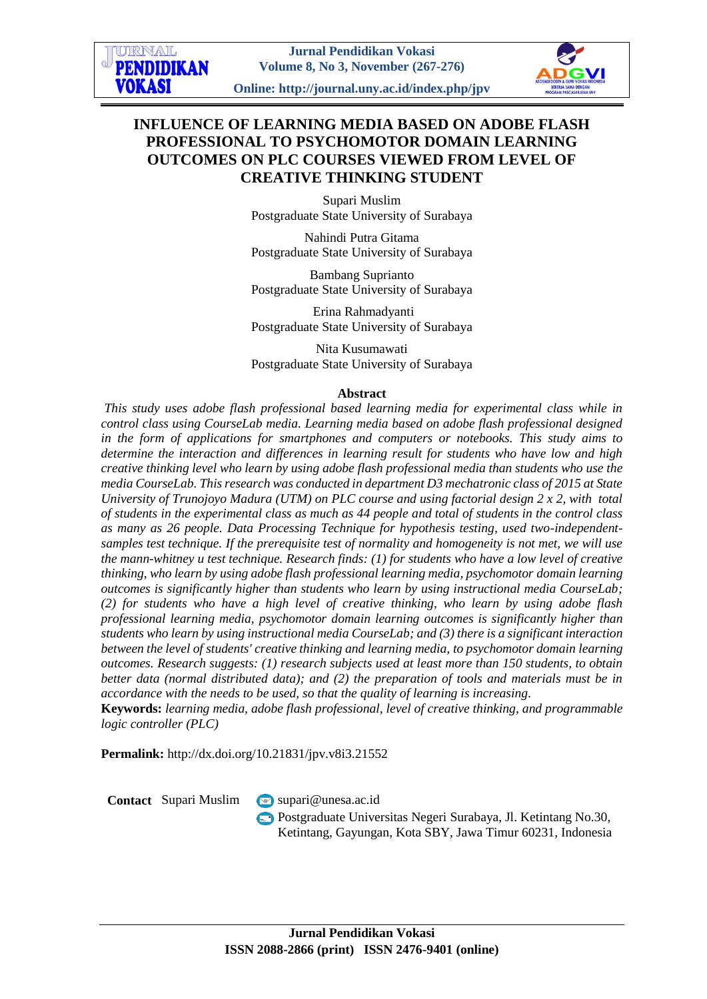# **INFLUENCE OF LEARNING MEDIA BASED ON ADOBE FLASH PROFESSIONAL TO PSYCHOMOTOR DOMAIN LEARNING OUTCOMES ON PLC COURSES VIEWED FROM LEVEL OF CREATIVE THINKING STUDENT**

Supari Muslim Postgraduate State University of Surabaya

Nahindi Putra Gitama Postgraduate State University of Surabaya

Bambang Suprianto Postgraduate State University of Surabaya

Erina Rahmadyanti Postgraduate State University of Surabaya

Nita Kusumawati Postgraduate State University of Surabaya

### **Abstract**

*This study uses adobe flash professional based learning media for experimental class while in control class using CourseLab media. Learning media based on adobe flash professional designed in the form of applications for smartphones and computers or notebooks. This study aims to determine the interaction and differences in learning result for students who have low and high creative thinking level who learn by using adobe flash professional media than students who use the media CourseLab. This research was conducted in department D3 mechatronic class of 2015 at State University of Trunojoyo Madura (UTM) on PLC course and using factorial design 2 x 2, with total of students in the experimental class as much as 44 people and total of students in the control class as many as 26 people. Data Processing Technique for hypothesis testing, used two-independentsamples test technique. If the prerequisite test of normality and homogeneity is not met, we will use the mann-whitney u test technique. Research finds: (1) for students who have a low level of creative thinking, who learn by using adobe flash professional learning media, psychomotor domain learning outcomes is significantly higher than students who learn by using instructional media CourseLab; (2) for students who have a high level of creative thinking, who learn by using adobe flash professional learning media, psychomotor domain learning outcomes is significantly higher than students who learn by using instructional media CourseLab; and (3) there is a significant interaction between the level of students' creative thinking and learning media, to psychomotor domain learning outcomes. Research suggests: (1) research subjects used at least more than 150 students, to obtain better data (normal distributed data); and (2) the preparation of tools and materials must be in accordance with the needs to be used, so that the quality of learning is increasing.*

**Keywords:** *learning media, adobe flash professional, level of creative thinking, and programmable logic controller (PLC)*

**Permalink:** http://dx.doi.org/10.21831/jpv.v8i3.21552

**Contact** Supari Muslim [supari@unesa.ac.id](mailto:supari@unesa.ac.id)

Postgraduate Universitas Negeri Surabaya, Jl. Ketintang No.30, Ketintang, Gayungan, Kota SBY, Jawa Timur 60231, Indonesia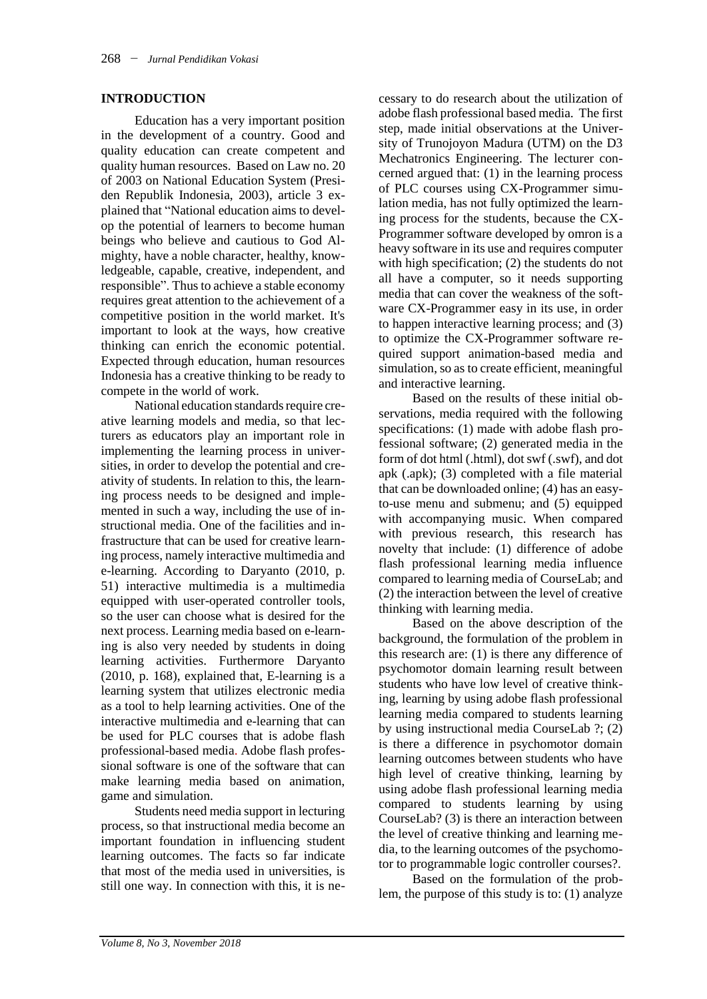### **INTRODUCTION**

Education has a very important position in the development of a country. Good and quality education can create competent and quality human resources. Based on Law no. 20 of 2003 on National Education System (Presiden Republik Indonesia, 2003), article 3 explained that "National education aims to develop the potential of learners to become human beings who believe and cautious to God Almighty, have a noble character, healthy, knowledgeable, capable, creative, independent, and responsible". Thus to achieve a stable economy requires great attention to the achievement of a competitive position in the world market. It's important to look at the ways, how creative thinking can enrich the economic potential. Expected through education, human resources Indonesia has a creative thinking to be ready to compete in the world of work.

National education standards require creative learning models and media, so that lecturers as educators play an important role in implementing the learning process in universities, in order to develop the potential and creativity of students. In relation to this, the learning process needs to be designed and implemented in such a way, including the use of instructional media. One of the facilities and infrastructure that can be used for creative learning process, namely interactive multimedia and e-learning. According to Daryanto (2010, p. 51) interactive multimedia is a multimedia equipped with user-operated controller tools, so the user can choose what is desired for the next process. Learning media based on e-learning is also very needed by students in doing learning activities. Furthermore Daryanto (2010, p. 168), explained that, E-learning is a learning system that utilizes electronic media as a tool to help learning activities. One of the interactive multimedia and e-learning that can be used for PLC courses that is adobe flash professional-based media. Adobe flash professional software is one of the software that can make learning media based on animation, game and simulation.

Students need media support in lecturing process, so that instructional media become an important foundation in influencing student learning outcomes. The facts so far indicate that most of the media used in universities, is still one way. In connection with this, it is ne-

cessary to do research about the utilization of adobe flash professional based media*.* The first step, made initial observations at the University of Trunojoyon Madura (UTM) on the D3 Mechatronics Engineering. The lecturer concerned argued that: (1) in the learning process of PLC courses using CX-Programmer simulation media, has not fully optimized the learning process for the students, because the CX-Programmer software developed by omron is a heavy software in its use and requires computer with high specification; (2) the students do not all have a computer, so it needs supporting media that can cover the weakness of the software CX-Programmer easy in its use, in order to happen interactive learning process; and (3) to optimize the CX-Programmer software required support animation-based media and simulation, so as to create efficient, meaningful and interactive learning.

Based on the results of these initial observations, media required with the following specifications: (1) made with adobe flash professional software; (2) generated media in the form of dot html (.html), dot swf (.swf), and dot apk (.apk); (3) completed with a file material that can be downloaded online; (4) has an easyto-use menu and submenu; and (5) equipped with accompanying music. When compared with previous research, this research has novelty that include: (1) difference of adobe flash professional learning media influence compared to learning media of CourseLab; and (2) the interaction between the level of creative thinking with learning media.

Based on the above description of the background, the formulation of the problem in this research are: (1) is there any difference of psychomotor domain learning result between students who have low level of creative thinking, learning by using adobe flash professional learning media compared to students learning by using instructional media CourseLab ?; (2) is there a difference in psychomotor domain learning outcomes between students who have high level of creative thinking, learning by using adobe flash professional learning media compared to students learning by using CourseLab? (3) is there an interaction between the level of creative thinking and learning media, to the learning outcomes of the psychomotor to programmable logic controller courses?.

Based on the formulation of the problem, the purpose of this study is to: (1) analyze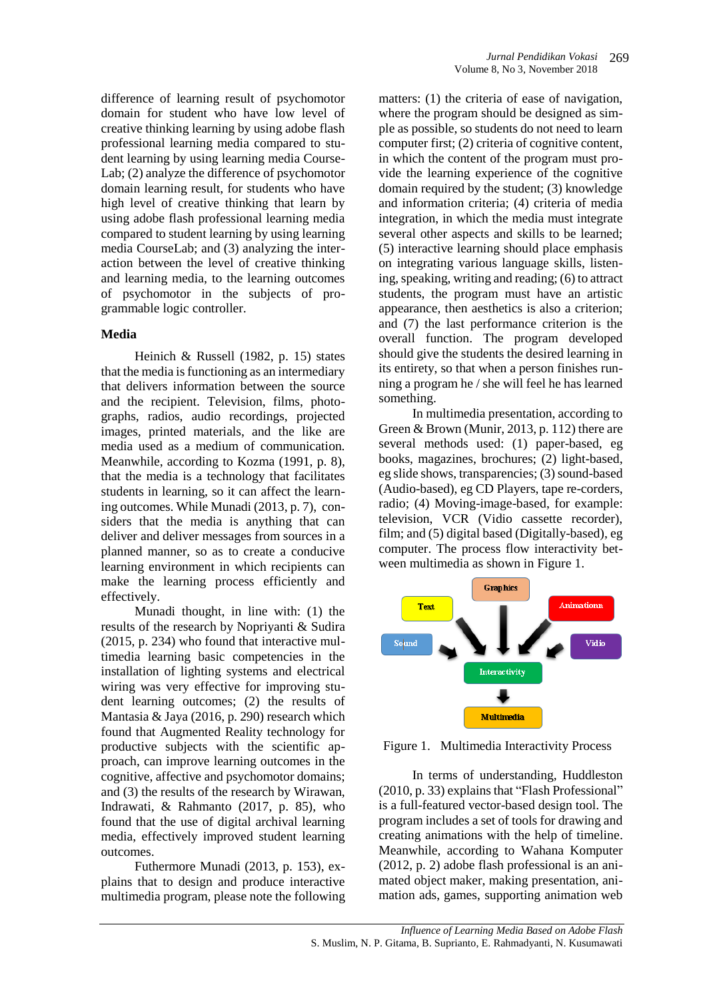difference of learning result of psychomotor domain for student who have low level of creative thinking learning by using adobe flash professional learning media compared to student learning by using learning media Course-Lab; (2) analyze the difference of psychomotor domain learning result, for students who have high level of creative thinking that learn by using adobe flash professional learning media compared to student learning by using learning media CourseLab; and (3) analyzing the interaction between the level of creative thinking and learning media, to the learning outcomes of psychomotor in the subjects of programmable logic controller*.*

## **Media**

Heinich & Russell (1982, p. 15) states that the media is functioning as an intermediary that delivers information between the source and the recipient. Television, films, photographs, radios, audio recordings, projected images, printed materials, and the like are media used as a medium of communication. Meanwhile, according to Kozma (1991, p. 8), that the media is a technology that facilitates students in learning, so it can affect the learning outcomes. While Munadi (2013, p. 7), considers that the media is anything that can deliver and deliver messages from sources in a planned manner, so as to create a conducive learning environment in which recipients can make the learning process efficiently and effectively.

Munadi thought, in line with: (1) the results of the research by Nopriyanti & Sudira (2015, p. 234) who found that interactive multimedia learning basic competencies in the installation of lighting systems and electrical wiring was very effective for improving student learning outcomes; (2) the results of Mantasia & Jaya (2016, p. 290) research which found that Augmented Reality technology for productive subjects with the scientific approach, can improve learning outcomes in the cognitive, affective and psychomotor domains; and (3) the results of the research by Wirawan, Indrawati, & Rahmanto (2017, p. 85), who found that the use of digital archival learning media, effectively improved student learning outcomes.

Futhermore Munadi (2013, p. 153), explains that to design and produce interactive multimedia program, please note the following

matters: (1) the criteria of ease of navigation. where the program should be designed as simple as possible, so students do not need to learn computer first; (2) criteria of cognitive content, in which the content of the program must provide the learning experience of the cognitive domain required by the student; (3) knowledge and information criteria; (4) criteria of media integration, in which the media must integrate several other aspects and skills to be learned; (5) interactive learning should place emphasis on integrating various language skills, listening, speaking, writing and reading; (6) to attract students, the program must have an artistic appearance, then aesthetics is also a criterion; and (7) the last performance criterion is the overall function. The program developed should give the students the desired learning in its entirety, so that when a person finishes running a program he / she will feel he has learned something.

In multimedia presentation, according to Green & Brown (Munir, 2013, p. 112) there are several methods used: (1) paper-based, eg books, magazines, brochures; (2) light-based, eg slide shows, transparencies; (3) sound-based (Audio-based), eg CD Players, tape re-corders, radio; (4) Moving-image-based, for example: television, VCR (Vidio cassette recorder), film; and (5) digital based (Digitally-based), eg computer. The process flow interactivity between multimedia as shown in Figure 1.



Figure 1. Multimedia Interactivity Process

In terms of understanding, Huddleston (2010, p. 33) explains that "Flash Professional" is a full-featured vector-based design tool. The program includes a set of tools for drawing and creating animations with the help of timeline. Meanwhile, according to Wahana Komputer (2012, p. 2) adobe flash professional is an animated object maker, making presentation, animation ads, games, supporting animation web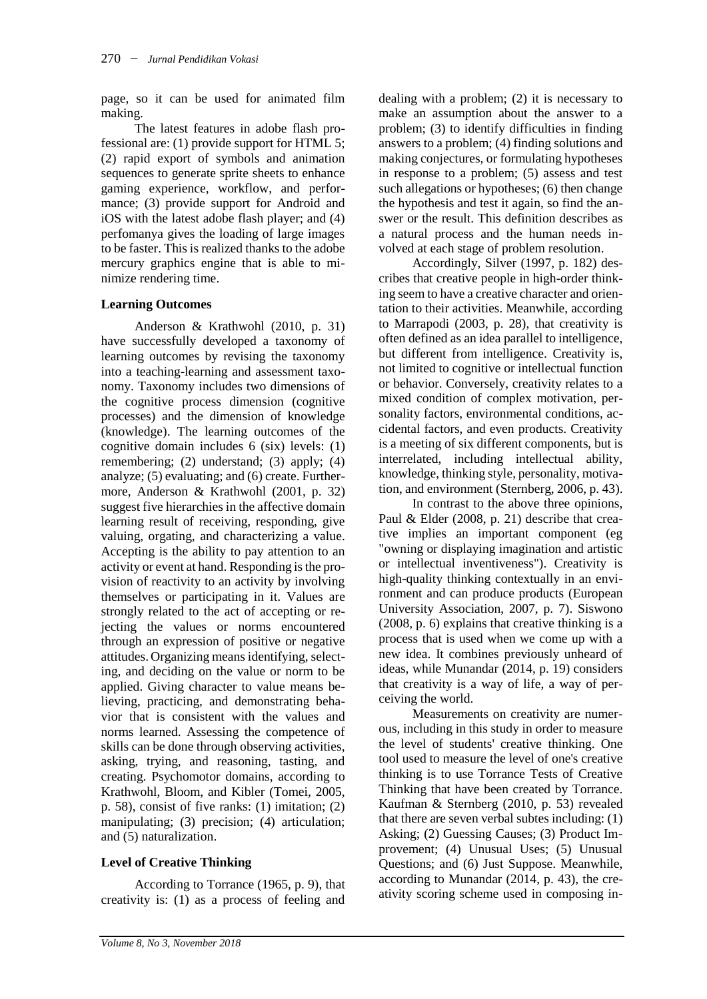page, so it can be used for animated film making.

The latest features in adobe flash professional are: (1) provide support for HTML 5; (2) rapid export of symbols and animation sequences to generate sprite sheets to enhance gaming experience, workflow, and performance; (3) provide support for Android and iOS with the latest adobe flash player; and (4) perfomanya gives the loading of large images to be faster. This is realized thanks to the adobe mercury graphics engine that is able to minimize rendering time.

## **Learning Outcomes**

Anderson & Krathwohl (2010, p. 31) have successfully developed a taxonomy of learning outcomes by revising the taxonomy into a teaching-learning and assessment taxonomy. Taxonomy includes two dimensions of the cognitive process dimension (cognitive processes) and the dimension of knowledge (knowledge). The learning outcomes of the cognitive domain includes 6 (six) levels: (1) remembering; (2) understand; (3) apply; (4) analyze; (5) evaluating; and (6) create. Furthermore, Anderson & Krathwohl (2001, p. 32) suggest five hierarchies in the affective domain learning result of receiving, responding, give valuing, orgating, and characterizing a value. Accepting is the ability to pay attention to an activity or event at hand. Responding isthe provision of reactivity to an activity by involving themselves or participating in it. Values are strongly related to the act of accepting or rejecting the values or norms encountered through an expression of positive or negative attitudes. Organizing means identifying, selecting, and deciding on the value or norm to be applied. Giving character to value means believing, practicing, and demonstrating behavior that is consistent with the values and norms learned. Assessing the competence of skills can be done through observing activities, asking, trying, and reasoning, tasting, and creating. Psychomotor domains, according to Krathwohl, Bloom, and Kibler (Tomei, 2005, p. 58), consist of five ranks: (1) imitation; (2) manipulating; (3) precision; (4) articulation; and (5) naturalization.

# **Level of Creative Thinking**

According to Torrance (1965, p. 9), that creativity is: (1) as a process of feeling and

dealing with a problem; (2) it is necessary to make an assumption about the answer to a problem; (3) to identify difficulties in finding answers to a problem; (4) finding solutions and making conjectures, or formulating hypotheses in response to a problem; (5) assess and test such allegations or hypotheses; (6) then change the hypothesis and test it again, so find the answer or the result. This definition describes as a natural process and the human needs involved at each stage of problem resolution.

Accordingly, Silver (1997, p. 182) describes that creative people in high-order thinking seem to have a creative character and orientation to their activities. Meanwhile, according to Marrapodi (2003, p. 28), that creativity is often defined as an idea parallel to intelligence, but different from intelligence. Creativity is, not limited to cognitive or intellectual function or behavior. Conversely, creativity relates to a mixed condition of complex motivation, personality factors, environmental conditions, accidental factors, and even products. Creativity is a meeting of six different components, but is interrelated, including intellectual ability, knowledge, thinking style, personality, motivation, and environment (Sternberg, 2006, p. 43).

In contrast to the above three opinions, Paul & Elder (2008, p. 21) describe that creative implies an important component (eg "owning or displaying imagination and artistic or intellectual inventiveness"). Creativity is high-quality thinking contextually in an environment and can produce products (European University Association, 2007, p. 7). Siswono (2008, p. 6) explains that creative thinking is a process that is used when we come up with a new idea. It combines previously unheard of ideas, while Munandar (2014, p. 19) considers that creativity is a way of life, a way of perceiving the world.

Measurements on creativity are numerous, including in this study in order to measure the level of students' creative thinking. One tool used to measure the level of one's creative thinking is to use Torrance Tests of Creative Thinking that have been created by Torrance. Kaufman & Sternberg (2010, p. 53) revealed that there are seven verbal subtes including: (1) Asking; (2) Guessing Causes; (3) Product Improvement; (4) Unusual Uses; (5) Unusual Questions; and (6) Just Suppose. Meanwhile, according to Munandar (2014, p. 43), the creativity scoring scheme used in composing in-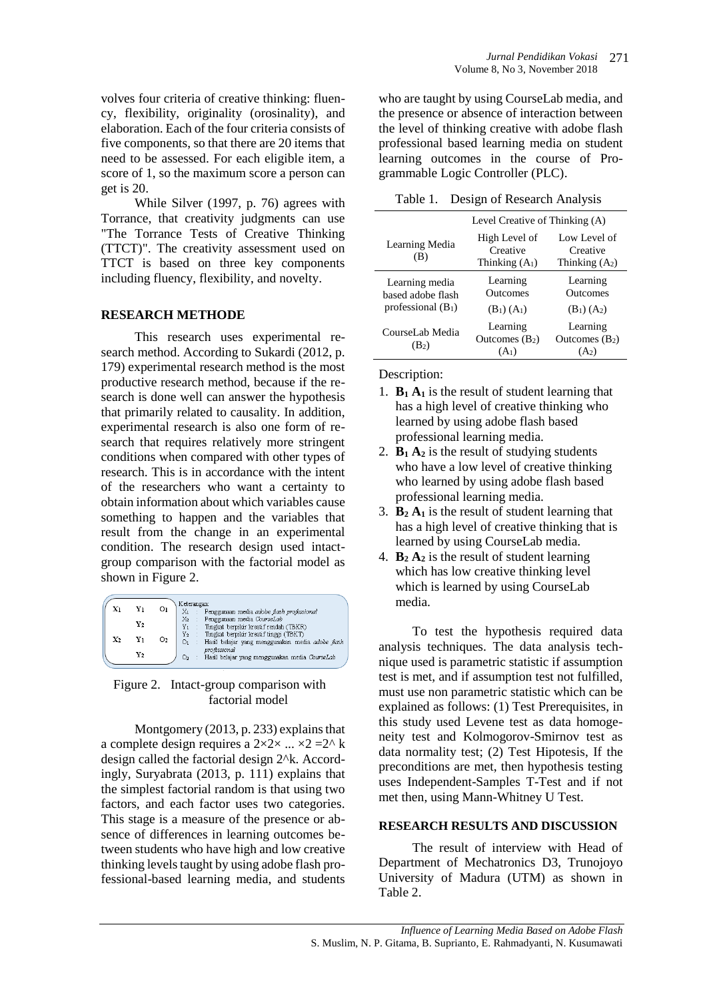While Silver (1997, p. 76) agrees with Torrance, that creativity judgments can use "The Torrance Tests of Creative Thinking (TTCT)". The creativity assessment used on TTCT is based on three key components including fluency, flexibility, and novelty.

## **RESEARCH METHODE**

This research uses experimental research method. According to Sukardi (2012, p. 179) experimental research method is the most productive research method, because if the research is done well can answer the hypothesis that primarily related to causality. In addition, experimental research is also one form of research that requires relatively more stringent conditions when compared with other types of research. This is in accordance with the intent of the researchers who want a certainty to obtain information about which variables cause something to happen and the variables that result from the change in an experimental condition. The research design used intactgroup comparison with the factorial model as shown in Figure 2.

|                |    |    | Keterangan:                                                      |
|----------------|----|----|------------------------------------------------------------------|
| X١             | Y١ | Оι | Penggunaan media adobe flash professional<br>Xı                  |
|                |    |    | X2<br>Penggunaan media CourseLab                                 |
|                | Y2 |    | Tingkat berpikir kreatif rendah (TBKR)<br>Y <sub>1</sub>         |
| $\mathbf{x}_2$ | Yı | O2 | $Y_2$<br>Tingkat berpikir kreatif tinggi (TBKT)                  |
|                |    |    | 01<br>Hasil belajar yang menggunakan media adobe flash           |
|                | Y2 |    | professional                                                     |
|                |    |    | Hasil belajar yang menggunakan media CourseLab<br>O <sub>2</sub> |

Figure 2. Intact-group comparison with factorial model

Montgomery  $(2013, p. 233)$  explains that a complete design requires a  $2 \times 2 \times ... \times 2 = 2^{\wedge} k$ design called the factorial design 2^k. Accordingly, Suryabrata (2013, p. 111) explains that the simplest factorial random is that using two factors, and each factor uses two categories. This stage is a measure of the presence or absence of differences in learning outcomes between students who have high and low creative thinking levels taught by using adobe flash professional-based learning media, and students who are taught by using CourseLab media, and the presence or absence of interaction between the level of thinking creative with adobe flash professional based learning media on student learning outcomes in the course of Programmable Logic Controller (PLC).

Table 1. Design of Research Analysis

|                                                             | Level Creative of Thinking (A)                |                                              |  |
|-------------------------------------------------------------|-----------------------------------------------|----------------------------------------------|--|
| Learning Media<br>(B)                                       | High Level of<br>Creative<br>Thinking $(A_1)$ | Low Level of<br>Creative<br>Thinking $(A2)$  |  |
| Learning media<br>based adobe flash<br>professional $(B_1)$ | Learning<br>Outcomes<br>$(B_1) (A_1)$         | Learning<br><b>Outcomes</b><br>$(B_1) (A_2)$ |  |
| CourseLab Media<br>$(B_2)$                                  | Learning<br>Outcomes $(B_2)$<br>$(A_1)$       | Learning<br>Outcomes $(B_2)$                 |  |

Description:

- 1.  $B_1 A_1$  is the result of student learning that has a high level of creative thinking who learned by using adobe flash based professional learning media.
- 2.  $\mathbf{B}_1 \mathbf{A}_2$  is the result of studying students who have a low level of creative thinking who learned by using adobe flash based professional learning media.
- 3. **B<sup>2</sup> A<sup>1</sup>** is the result of student learning that has a high level of creative thinking that is learned by using CourseLab media*.*
- 4.  $\mathbf{B}_2 \mathbf{A}_2$  is the result of student learning which has low creative thinking level which is learned by using CourseLab media*.*

To test the hypothesis required data analysis techniques. The data analysis technique used is parametric statistic if assumption test is met, and if assumption test not fulfilled, must use non parametric statistic which can be explained as follows: (1) Test Prerequisites, in this study used Levene test as data homogeneity test and Kolmogorov-Smirnov test as data normality test; (2) Test Hipotesis, If the preconditions are met, then hypothesis testing uses Independent-Samples T-Test and if not met then, using Mann-Whitney U Test.

## **RESEARCH RESULTS AND DISCUSSION**

The result of interview with Head of Department of Mechatronics D3, Trunojoyo University of Madura (UTM) as shown in Table 2.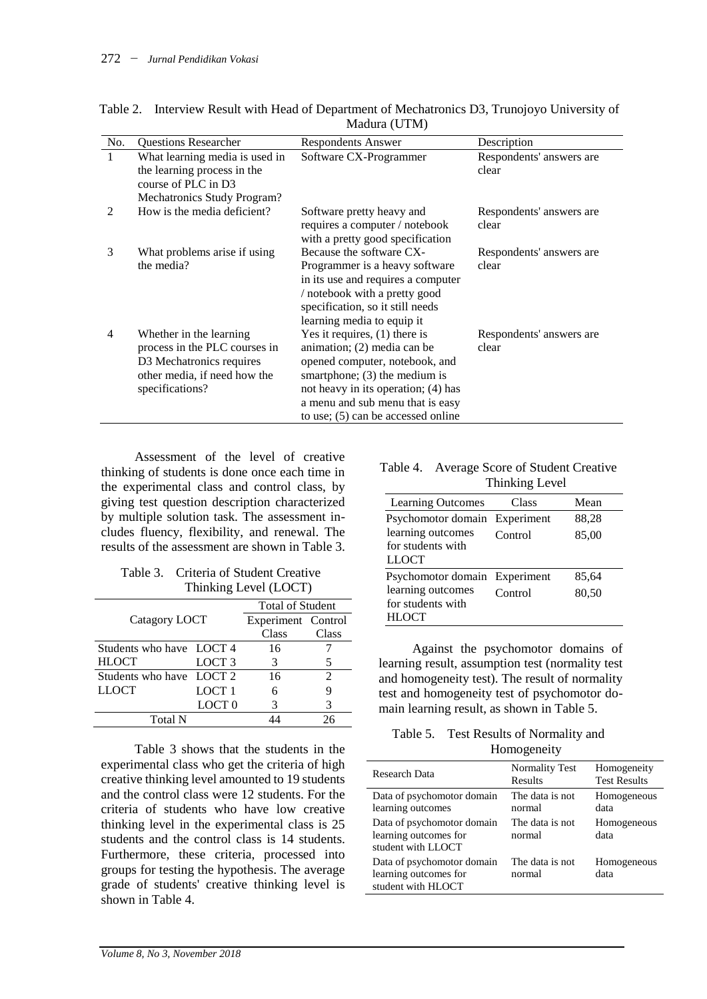| No.           | <b>Questions Researcher</b>                                                                                                             | Respondents Answer                                                                                                                                                                                                                                       | Description                       |  |
|---------------|-----------------------------------------------------------------------------------------------------------------------------------------|----------------------------------------------------------------------------------------------------------------------------------------------------------------------------------------------------------------------------------------------------------|-----------------------------------|--|
| $\mathbf{1}$  | What learning media is used in<br>the learning process in the<br>course of PLC in D3                                                    | Software CX-Programmer                                                                                                                                                                                                                                   | Respondents' answers are<br>clear |  |
| $\mathcal{L}$ | Mechatronics Study Program?<br>How is the media deficient?                                                                              | Software pretty heavy and<br>requires a computer / notebook<br>with a pretty good specification                                                                                                                                                          | Respondents' answers are<br>clear |  |
| 3             | What problems arise if using<br>the media?                                                                                              | Because the software CX-<br>Programmer is a heavy software<br>in its use and requires a computer<br>/ notebook with a pretty good<br>specification, so it still needs<br>learning media to equip it                                                      | Respondents' answers are<br>clear |  |
| 4             | Whether in the learning<br>process in the PLC courses in<br>D3 Mechatronics requires<br>other media, if need how the<br>specifications? | Yes it requires, $(1)$ there is<br>animation; $(2)$ media can be<br>opened computer, notebook, and<br>smartphone; $(3)$ the medium is<br>not heavy in its operation; (4) has<br>a menu and sub menu that is easy<br>to use; $(5)$ can be accessed online | Respondents' answers are<br>clear |  |

Table 2. Interview Result with Head of Department of Mechatronics D3, Trunojoyo University of Madura (UTM)

Assessment of the level of creative thinking of students is done once each time in the experimental class and control class, by giving test question description characterized by multiple solution task. The assessment includes fluency, flexibility, and renewal. The results of the assessment are shown in Table 3.

Table 3. Criteria of Student Creative Thinking Level (LOCT)

|                          | <b>Total of Student</b> |              |       |
|--------------------------|-------------------------|--------------|-------|
| Catagory LOCT            | Experiment Control      |              |       |
|                          |                         | <b>Class</b> | Class |
| Students who have LOCT 4 |                         | 16           |       |
| <b>HLOCT</b>             | LOCT <sub>3</sub>       | 3            | 5     |
| Students who have LOCT 2 |                         | 16           | 2     |
| <b>LLOCT</b>             | LOCT <sub>1</sub>       | 6            |       |
|                          | LOCT <sub>0</sub>       | 3            | 3     |
| Total N                  |                         |              | ገና    |

Table 3 shows that the students in the experimental class who get the criteria of high creative thinking level amounted to 19 students and the control class were 12 students. For the criteria of students who have low creative thinking level in the experimental class is 25 students and the control class is 14 students. Furthermore, these criteria, processed into groups for testing the hypothesis. The average grade of students' creative thinking level is shown in Table 4.

#### Table 4. Average Score of Student Creative Thinking Level

| Learning Outcomes                                      | Class      | Mean  |
|--------------------------------------------------------|------------|-------|
| Psychomotor domain                                     | Experiment | 88,28 |
| learning outcomes<br>for students with<br><b>LLOCT</b> | Control    | 85,00 |
| Psychomotor domain Experiment                          |            | 85,64 |
| learning outcomes<br>for students with                 | Control    | 80,50 |
| <b>HLOCT</b>                                           |            |       |

Against the psychomotor domains of learning result, assumption test (normality test and homogeneity test). The result of normality test and homogeneity test of psychomotor domain learning result, as shown in Table 5.

Table 5. Test Results of Normality and Homogeneity

| Research Data                                                                 | <b>Normality Test</b><br>Results             | Homogeneity<br><b>Test Results</b> |
|-------------------------------------------------------------------------------|----------------------------------------------|------------------------------------|
| Data of psychomotor domain<br>learning outcomes<br>Data of psychomotor domain | The data is not<br>normal<br>The data is not | Homogeneous<br>data<br>Homogeneous |
| learning outcomes for<br>student with LLOCT                                   | normal                                       | data                               |
| Data of psychomotor domain<br>learning outcomes for<br>student with HLOCT     | The data is not<br>normal                    | Homogeneous<br>data                |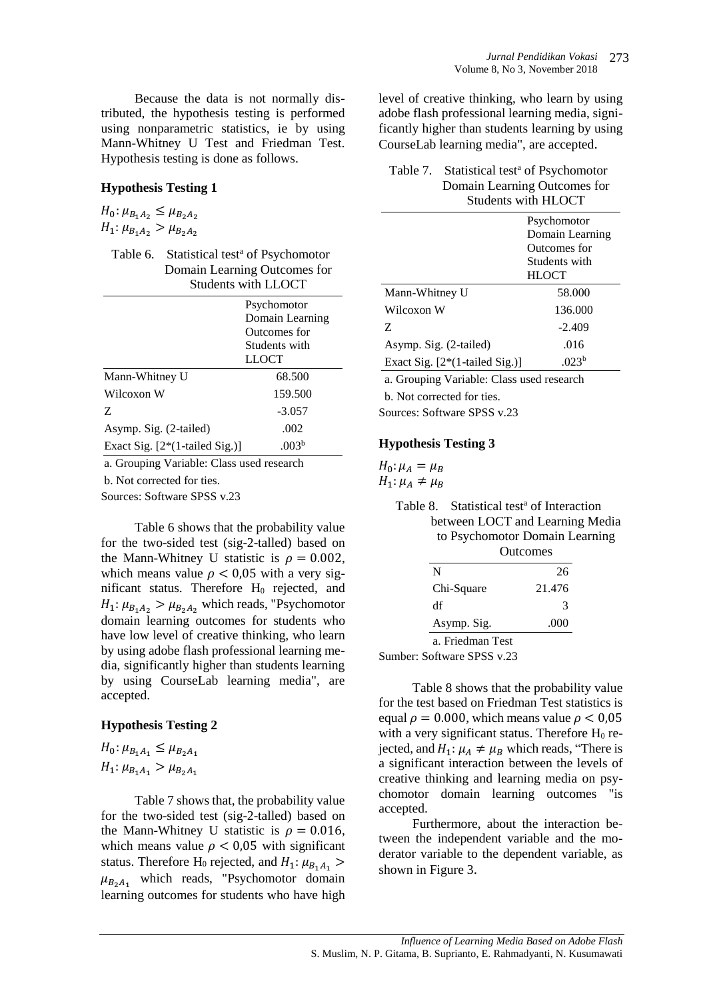Because the data is not normally distributed, the hypothesis testing is performed using nonparametric statistics, ie by using Mann-Whitney U Test and Friedman Test. Hypothesis testing is done as follows.

### **Hypothesis Testing 1**

 $H_0: \mu_{B_1A_2} \leq \mu_{B_2A_2}$  $H_1: \mu_{B_1A_2} > \mu_{B_2A_2}$ 

Table 6. Statistical test<sup>a</sup> of Psychomotor Domain Learning Outcomes for Students with LLOCT

|                                  | Psychomotor       |
|----------------------------------|-------------------|
|                                  | Domain Learning   |
|                                  | Outcomes for      |
|                                  | Students with     |
|                                  | LLOCT             |
| Mann-Whitney U                   | 68.500            |
| Wilcoxon W                       | 159.500           |
| Z                                | $-3.057$          |
| Asymp. Sig. (2-tailed)           | .002              |
| Exact Sig. $[2*(1-tailed Sig.)]$ | .003 <sup>b</sup> |

a. Grouping Variable: Class used research

b. Not corrected for ties.

Sources: Software SPSS v.23

Table 6 shows that the probability value for the two-sided test (sig-2-talled) based on the Mann-Whitney U statistic is  $\rho = 0.002$ , which means value  $\rho < 0.05$  with a very significant status. Therefore H<sub>0</sub> rejected, and  $H_1: \mu_{B_1A_2} > \mu_{B_2A_2}$  which reads, "Psychomotor domain learning outcomes for students who have low level of creative thinking, who learn by using adobe flash professional learning media, significantly higher than students learning by using CourseLab learning media", are accepted.

### **Hypothesis Testing 2**

| $H_0: \mu_{B_1A_1} \leq \mu_{B_2A_1}$ |  |
|---------------------------------------|--|
| $H_1: \mu_{B_1A_1} > \mu_{B_2A_1}$    |  |

Table 7 shows that, the probability value for the two-sided test (sig-2-talled) based on the Mann-Whitney U statistic is  $\rho = 0.016$ , which means value  $\rho < 0.05$  with significant status. Therefore H<sub>0</sub> rejected, and  $H_1: \mu_{B_1A_1} >$  $\mu_{B_2A_1}$  which reads, "Psychomotor domain learning outcomes for students who have high level of creative thinking, who learn by using adobe flash professional learning media, significantly higher than students learning by using CourseLab learning media", are accepted.

### Table 7. Statistical test<sup>a</sup> of Psychomotor Domain Learning Outcomes for Students with HLOCT

|                                  | Psychomotor       |
|----------------------------------|-------------------|
|                                  | Domain Learning   |
|                                  | Outcomes for      |
|                                  | Students with     |
|                                  | <b>HLOCT</b>      |
| Mann-Whitney U                   | 58.000            |
| Wilcoxon W                       | 136.000           |
| Z                                | $-2.409$          |
| Asymp. Sig. (2-tailed)           | .016              |
| Exact Sig. $[2*(1-tailed Sig.)]$ | .023 <sup>b</sup> |

a. Grouping Variable: Class used research

b. Not corrected for ties.

Sources: Software SPSS v.23

## **Hypothesis Testing 3**

 $H_0: \mu_A = \mu_B$  $H_1: \mu_A \neq \mu_B$ 

| Table 8. Statistical test <sup>a</sup> of Interaction |
|-------------------------------------------------------|
| between LOCT and Learning Media                       |
| to Psychomotor Domain Learning                        |
| $\Omega$ utoomaa                                      |

|                  | VAIILOIHES |
|------------------|------------|
| N                | 26         |
| Chi-Square       | 21.476     |
| df               | 3          |
| Asymp. Sig.      | .000       |
| a. Friedman Test |            |

Sumber: Software SPSS v.23

Table 8 shows that the probability value for the test based on Friedman Test statistics is equal  $\rho = 0.000$ , which means value  $\rho < 0.05$ with a very significant status. Therefore  $H_0$  rejected, and  $H_1: \mu_A \neq \mu_B$  which reads, "There is a significant interaction between the levels of creative thinking and learning media on psychomotor domain learning outcomes "is accepted.

Furthermore, about the interaction between the independent variable and the moderator variable to the dependent variable, as shown in Figure 3.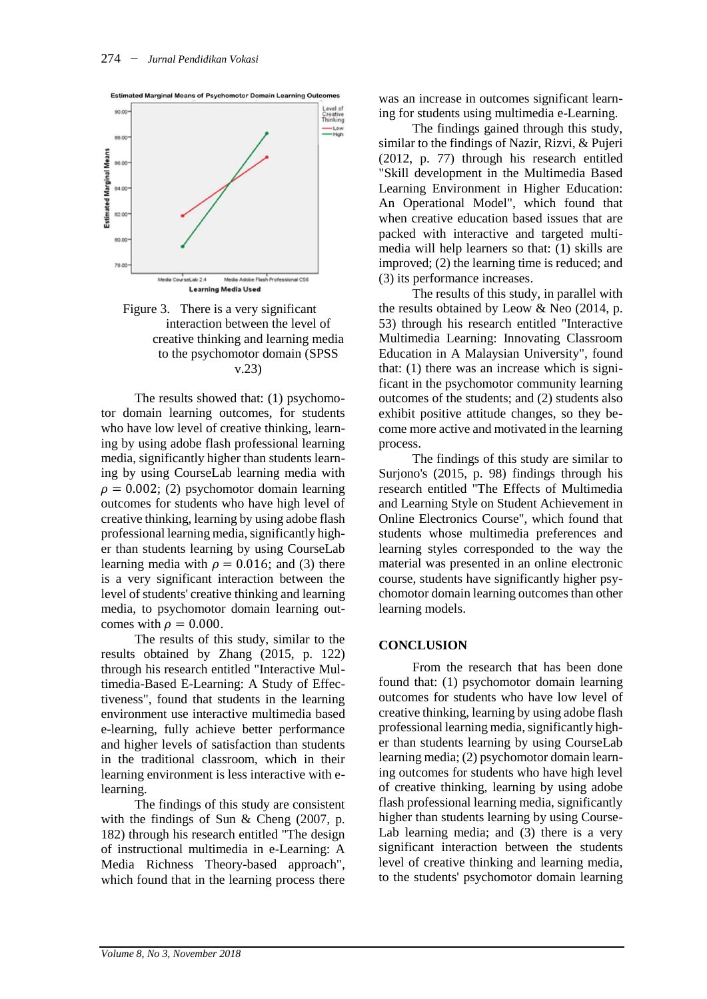

Figure 3. There is a very significant interaction between the level of creative thinking and learning media to the psychomotor domain (SPSS v.23)

The results showed that: (1) psychomotor domain learning outcomes, for students who have low level of creative thinking, learning by using adobe flash professional learning media, significantly higher than students learning by using CourseLab learning media with  $\rho = 0.002$ ; (2) psychomotor domain learning outcomes for students who have high level of creative thinking, learning by using adobe flash professional learning media,significantly higher than students learning by using CourseLab learning media with  $\rho = 0.016$ ; and (3) there is a very significant interaction between the level of students' creative thinking and learning media, to psychomotor domain learning outcomes with  $\rho = 0.000$ .

The results of this study, similar to the results obtained by Zhang (2015, p. 122) through his research entitled "Interactive Multimedia-Based E-Learning: A Study of Effectiveness", found that students in the learning environment use interactive multimedia based e-learning, fully achieve better performance and higher levels of satisfaction than students in the traditional classroom, which in their learning environment is less interactive with elearning.

The findings of this study are consistent with the findings of Sun  $&$  Cheng (2007, p. 182) through his research entitled "The design of instructional multimedia in e-Learning: A Media Richness Theory-based approach", which found that in the learning process there was an increase in outcomes significant learning for students using multimedia e-Learning.

The findings gained through this study, similar to the findings of Nazir, Rizvi, & Pujeri (2012, p. 77) through his research entitled "Skill development in the Multimedia Based Learning Environment in Higher Education: An Operational Model", which found that when creative education based issues that are packed with interactive and targeted multimedia will help learners so that: (1) skills are improved; (2) the learning time is reduced; and (3) its performance increases.

The results of this study, in parallel with the results obtained by Leow & Neo (2014, p. 53) through his research entitled "Interactive Multimedia Learning: Innovating Classroom Education in A Malaysian University", found that: (1) there was an increase which is significant in the psychomotor community learning outcomes of the students; and (2) students also exhibit positive attitude changes, so they become more active and motivated in the learning process.

The findings of this study are similar to Surjono's (2015, p. 98) findings through his research entitled "The Effects of Multimedia and Learning Style on Student Achievement in Online Electronics Course", which found that students whose multimedia preferences and learning styles corresponded to the way the material was presented in an online electronic course, students have significantly higher psychomotor domain learning outcomes than other learning models.

#### **CONCLUSION**

From the research that has been done found that: (1) psychomotor domain learning outcomes for students who have low level of creative thinking, learning by using adobe flash professional learning media, significantly higher than students learning by using CourseLab learning media; (2) psychomotor domain learning outcomes for students who have high level of creative thinking, learning by using adobe flash professional learning media, significantly higher than students learning by using Course-Lab learning media; and (3) there is a very significant interaction between the students level of creative thinking and learning media, to the students' psychomotor domain learning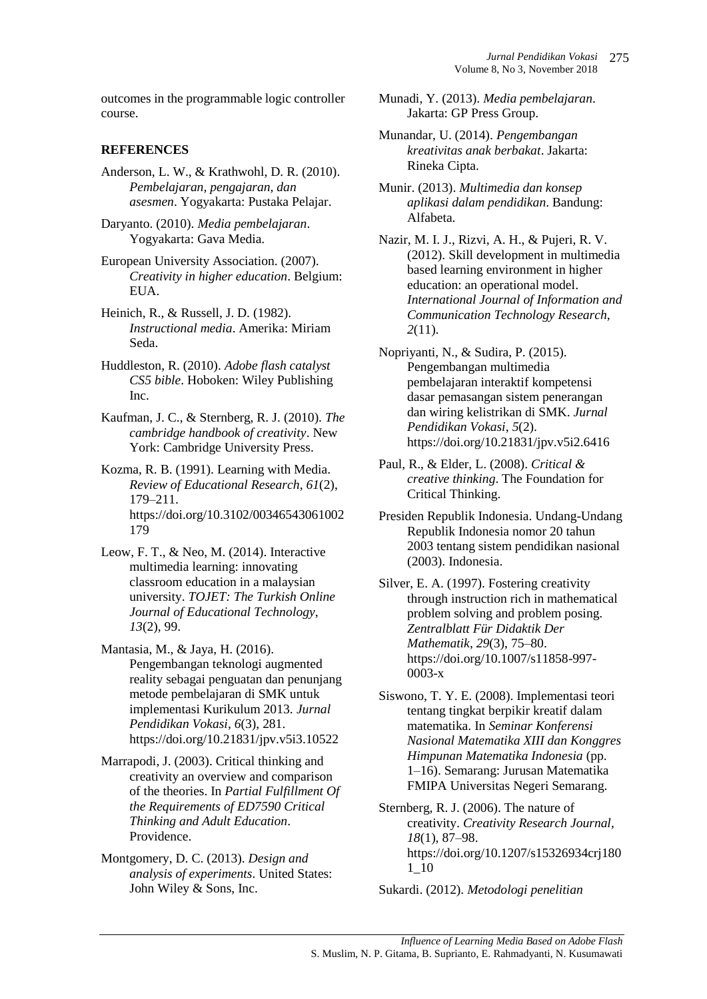outcomes in the programmable logic controller course.

## **REFERENCES**

- Anderson, L. W., & Krathwohl, D. R. (2010). *Pembelajaran, pengajaran, dan asesmen*. Yogyakarta: Pustaka Pelajar.
- Daryanto. (2010). *Media pembelajaran*. Yogyakarta: Gava Media.
- European University Association. (2007). *Creativity in higher education*. Belgium: EUA.
- Heinich, R., & Russell, J. D. (1982). *Instructional media*. Amerika: Miriam Seda.
- Huddleston, R. (2010). *Adobe flash catalyst CS5 bible*. Hoboken: Wiley Publishing Inc.
- Kaufman, J. C., & Sternberg, R. J. (2010). *The cambridge handbook of creativity*. New York: Cambridge University Press.
- Kozma, R. B. (1991). Learning with Media. *Review of Educational Research*, *61*(2), 179–211. https://doi.org/10.3102/00346543061002 179
- Leow, F. T., & Neo, M. (2014). Interactive multimedia learning: innovating classroom education in a malaysian university. *TOJET: The Turkish Online Journal of Educational Technology*, *13*(2), 99.
- Mantasia, M., & Jaya, H. (2016). Pengembangan teknologi augmented reality sebagai penguatan dan penunjang metode pembelajaran di SMK untuk implementasi Kurikulum 2013. *Jurnal Pendidikan Vokasi*, *6*(3), 281. https://doi.org/10.21831/jpv.v5i3.10522
- Marrapodi, J. (2003). Critical thinking and creativity an overview and comparison of the theories. In *Partial Fulfillment Of the Requirements of ED7590 Critical Thinking and Adult Education*. Providence.
- Montgomery, D. C. (2013). *Design and analysis of experiments*. United States: John Wiley & Sons, Inc.
- Munadi, Y. (2013). *Media pembelajaran*. Jakarta: GP Press Group.
- Munandar, U. (2014). *Pengembangan kreativitas anak berbakat*. Jakarta: Rineka Cipta.
- Munir. (2013). *Multimedia dan konsep aplikasi dalam pendidikan*. Bandung: Alfabeta.
- Nazir, M. I. J., Rizvi, A. H., & Pujeri, R. V. (2012). Skill development in multimedia based learning environment in higher education: an operational model. *International Journal of Information and Communication Technology Research*, *2*(11).
- Nopriyanti, N., & Sudira, P. (2015). Pengembangan multimedia pembelajaran interaktif kompetensi dasar pemasangan sistem penerangan dan wiring kelistrikan di SMK. *Jurnal Pendidikan Vokasi*, *5*(2). https://doi.org/10.21831/jpv.v5i2.6416
- Paul, R., & Elder, L. (2008). *Critical & creative thinking*. The Foundation for Critical Thinking.
- Presiden Republik Indonesia. Undang-Undang Republik Indonesia nomor 20 tahun 2003 tentang sistem pendidikan nasional (2003). Indonesia.
- Silver, E. A. (1997). Fostering creativity through instruction rich in mathematical problem solving and problem posing. *Zentralblatt Für Didaktik Der Mathematik*, *29*(3), 75–80. https://doi.org/10.1007/s11858-997- 0003-x
- Siswono, T. Y. E. (2008). Implementasi teori tentang tingkat berpikir kreatif dalam matematika. In *Seminar Konferensi Nasional Matematika XIII dan Konggres Himpunan Matematika Indonesia* (pp. 1–16). Semarang: Jurusan Matematika FMIPA Universitas Negeri Semarang.
- Sternberg, R. J. (2006). The nature of creativity. *Creativity Research Journal*, *18*(1), 87–98. https://doi.org/10.1207/s15326934crj180 1\_10

Sukardi. (2012). *Metodologi penelitian*